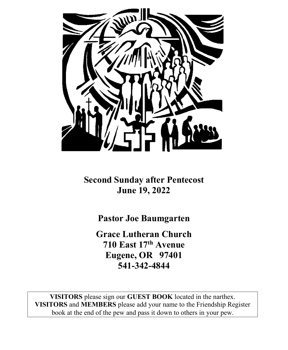

**Second Sunday after Pentecost June 19, 2022**

**Pastor Joe Baumgarten**

**Grace Lutheran Church 710 East 17th Avenue Eugene, OR 97401 541-342-4844**

**VISITORS** please sign our **GUEST BOOK** located in the narthex. **VISITORS** and **MEMBERS** please add your name to the Friendship Register book at the end of the pew and pass it down to others in your pew.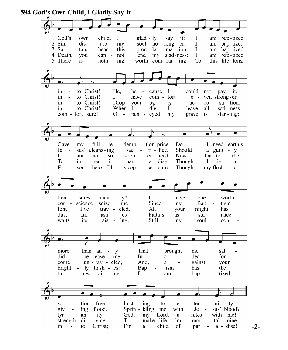

 <sup>-2-</sup>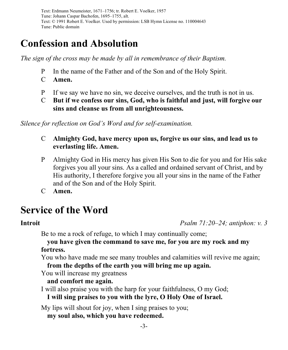Text: Erdmann Neumeister, 1671–1756; tr. Robert E. Voelker, 1957 Tune: Johann Caspar Bachofen, 1695–1755, alt. Text: © 1991 Robert E. Voelker. Used by permission: LSB Hymn License no. 110004643 Tune: Public domain

# **Confession and Absolution**

*The sign of the cross may be made by all in remembrance of their Baptism.*

- P In the name of the Father and of the Son and of the Holy Spirit.
- C **Amen.**
- P If we say we have no sin, we deceive ourselves, and the truth is not in us.
- C **But if we confess our sins, God, who is faithful and just, will forgive our sins and cleanse us from all unrighteousness.**

*Silence for reflection on God's Word and for self-examination.*

- C **Almighty God, have mercy upon us, forgive us our sins, and lead us to everlasting life. Amen.**
- P Almighty God in His mercy has given His Son to die for you and for His sake forgives you all your sins. As a called and ordained servant of Christ, and by His authority, I therefore forgive you all your sins in the name of the Father and of the Son and of the Holy Spirit.
- C **Amen.**

# **Service of the Word**

**Introit** *Psalm 71:20–24; antiphon: v. 3*

Be to me a rock of refuge, to which I may continually come;

## **you have given the command to save me, for you are my rock and my fortress.**

You who have made me see many troubles and calamities will revive me again;

**from the depths of the earth you will bring me up again.**

You will increase my greatness

# **and comfort me again.**

I will also praise you with the harp for your faithfulness, O my God; **I will sing praises to you with the lyre, O Holy One of Israel.**

My lips will shout for joy, when I sing praises to you; **my soul also, which you have redeemed.**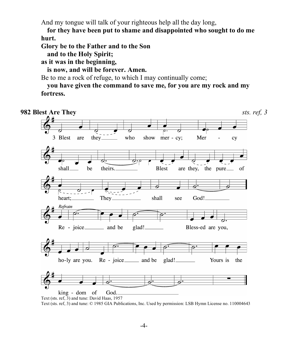And my tongue will talk of your righteous help all the day long,

**for they have been put to shame and disappointed who sought to do me hurt.**

**Glory be to the Father and to the Son**

**and to the Holy Spirit;**

**as it was in the beginning,**

**is now, and will be forever. Amen.**

Be to me a rock of refuge, to which I may continually come;

**you have given the command to save me, for you are my rock and my fortress.**

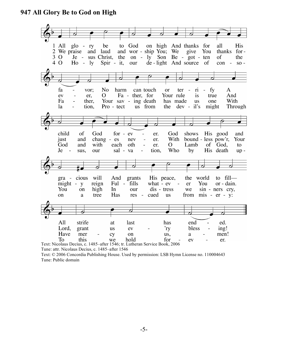### **947 All Glory Be to God on High**



Tune: attr. Nicolaus Decius, c. 1485–after 1546

Text: © 2006 Concordia Publishing House. Used by permission: LSB Hymn License no. 110004643 Tune: Public domain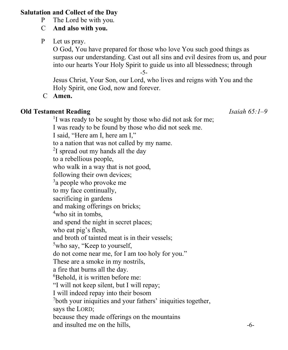### **Salutation and Collect of the Day**

- P The Lord be with you.
- C **And also with you.**
- P Let us pray.

O God, You have prepared for those who love You such good things as surpass our understanding. Cast out all sins and evil desires from us, and pour into our hearts Your Holy Spirit to guide us into all blessedness; through

-5-

Jesus Christ, Your Son, our Lord, who lives and reigns with You and the Holy Spirit, one God, now and forever.

C **Amen.**

# **Old Testament Reading** *Isaiah 65:1–9*

<sup>1</sup>I was ready to be sought by those who did not ask for me; I was ready to be found by those who did not seek me. I said, "Here am I, here am I," to a nation that was not called by my name. <sup>2</sup>I spread out my hands all the day to a rebellious people, who walk in a way that is not good, following their own devices; <sup>3</sup>a people who provoke me to my face continually, sacrificing in gardens and making offerings on bricks; 4 who sit in tombs, and spend the night in secret places; who eat pig's flesh, and broth of tainted meat is in their vessels; <sup>5</sup>who say, "Keep to yourself, do not come near me, for I am too holy for you." These are a smoke in my nostrils, a fire that burns all the day. 6 Behold, it is written before me: "I will not keep silent, but I will repay; I will indeed repay into their bosom <sup>7</sup>both your iniquities and your fathers' iniquities together, says the LORD; because they made offerings on the mountains and insulted me on the hills,  $\sim$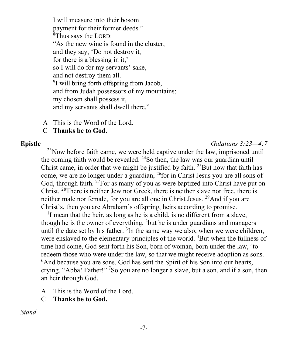I will measure into their bosom payment for their former deeds." <sup>8</sup>Thus says the LORD: "As the new wine is found in the cluster, and they say, 'Do not destroy it, for there is a blessing in it,' so I will do for my servants' sake, and not destroy them all. <sup>9</sup>I will bring forth offspring from Jacob, and from Judah possessors of my mountains; my chosen shall possess it, and my servants shall dwell there."

- A This is the Word of the Lord.
- C **Thanks be to God.**

### **Epistle** *Galatians 3:23—4:7*

 $^{23}$ Now before faith came, we were held captive under the law, imprisoned until the coming faith would be revealed.  $^{24}$ So then, the law was our guardian until Christ came, in order that we might be justified by faith.  $25$ But now that faith has come, we are no longer under a guardian, 26for in Christ Jesus you are all sons of God, through faith. <sup>27</sup>For as many of you as were baptized into Christ have put on Christ.  $28$ There is neither Jew nor Greek, there is neither slave nor free, there is neither male nor female, for you are all one in Christ Jesus. 29And if you are Christ's, then you are Abraham's offspring, heirs according to promise.

<sup>1</sup>I mean that the heir, as long as he is a child, is no different from a slave, though he is the owner of everything, <sup>2</sup>but he is under guardians and managers until the date set by his father.  $3$ In the same way we also, when we were children, were enslaved to the elementary principles of the world. <sup>4</sup>But when the fullness of time had come, God sent forth his Son, born of woman, born under the law, <sup>5</sup>to redeem those who were under the law, so that we might receive adoption as sons. <sup>6</sup>And because you are sons, God has sent the Spirit of his Son into our hearts, crying, "Abba! Father!" <sup>7</sup>So you are no longer a slave, but a son, and if a son, then an heir through God.

- A This is the Word of the Lord.
- C **Thanks be to God.**

*Stand*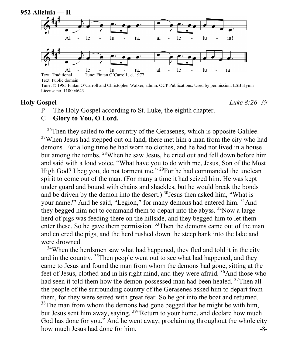

Tune: © 1985 Fintan O'Carroll and Christopher Walker, admin. OCP Publications. Used by permission: LSB Hymn License no. 110004643

**Holy Gospel** *Luke 8:26–39*

P The Holy Gospel according to St. Luke, the eighth chapter.

### C **Glory to You, O Lord.**

 $^{26}$ Then they sailed to the country of the Gerasenes, which is opposite Galilee. <sup>27</sup>When Jesus had stepped out on land, there met him a man from the city who had demons. For a long time he had worn no clothes, and he had not lived in a house but among the tombs. 28When he saw Jesus, he cried out and fell down before him and said with a loud voice, "What have you to do with me, Jesus, Son of the Most High God? I beg you, do not torment me." <sup>29</sup>For he had commanded the unclean spirit to come out of the man. (For many a time it had seized him. He was kept under guard and bound with chains and shackles, but he would break the bonds and be driven by the demon into the desert.)  $30$ Jesus then asked him, "What is your name?" And he said, "Legion," for many demons had entered him. <sup>31</sup>And they begged him not to command them to depart into the abyss.  $32$ Now a large herd of pigs was feeding there on the hillside, and they begged him to let them enter these. So he gave them permission. <sup>33</sup>Then the demons came out of the man and entered the pigs, and the herd rushed down the steep bank into the lake and were drowned.

 $34$ When the herdsmen saw what had happened, they fled and told it in the city and in the country. 35Then people went out to see what had happened, and they came to Jesus and found the man from whom the demons had gone, sitting at the feet of Jesus, clothed and in his right mind, and they were afraid. <sup>36</sup>And those who had seen it told them how the demon-possessed man had been healed. <sup>37</sup>Then all the people of the surrounding country of the Gerasenes asked him to depart from them, for they were seized with great fear. So he got into the boat and returned.  $38$ The man from whom the demons had gone begged that he might be with him, but Jesus sent him away, saying, <sup>39</sup> Return to your home, and declare how much God has done for you." And he went away, proclaiming throughout the whole city how much Jesus had done for him.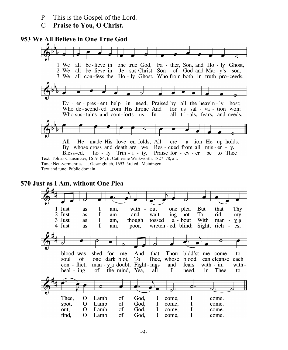- P This is the Gospel of the Lord.
- C **Praise to You, O Christ.**

#### **953 We All Believe in One True God**



**570 Just as I Am, without One Plea**

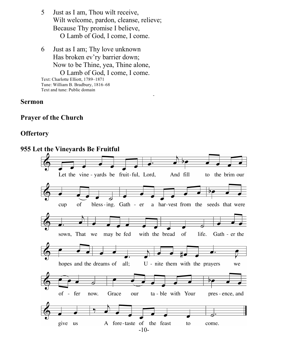- 5 Just as I am, Thou wilt receive, Wilt welcome, pardon, cleanse, relieve; Because Thy promise I believe, O Lamb of God, I come, I come.
- 6 Just as I am; Thy love unknown Has broken ev'ry barrier down; Now to be Thine, yea, Thine alone, O Lamb of God, I come, I come. Text: Charlotte Elliott, 1789–1871 Tune: William B. Bradbury, 1816–68 Text and tune: Public domain

and the contract of the contract of the contract of the contract of the contract of the contract of

#### **Sermon**

### **Prayer of the Church**

### **Offertory**

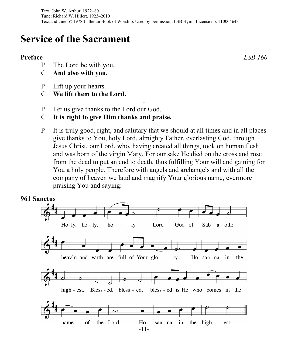# **Service of the Sacrament**

## **Preface** *LSB 160*

- P The Lord be with you.
- C **And also with you.**
- P Lift up your hearts.
- C **We lift them to the Lord.**
- P Let us give thanks to the Lord our God.
- C **It is right to give Him thanks and praise.**
- P It is truly good, right, and salutary that we should at all times and in all places give thanks to You, holy Lord, almighty Father, everlasting God, through Jesus Christ, our Lord, who, having created all things, took on human flesh and was born of the virgin Mary. For our sake He died on the cross and rose from the dead to put an end to death, thus fulfilling Your will and gaining for You a holy people. Therefore with angels and archangels and with all the company of heaven we laud and magnify Your glorious name, evermore praising You and saying:

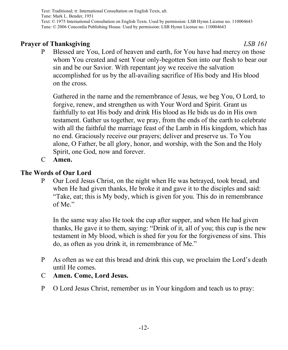Text: Traditional; tr. International Consultation on English Texts, alt. Tune: Mark L. Bender, 1951 Text: © 1975 International Consultation on English Texts. Used by permission: LSB Hymn License no. 110004643 Tune: © 2006 Concordia Publishing House. Used by permission: LSB Hymn License no. 110004643

# **Prayer of Thanksgiving** *LSB 161*

P Blessed are You, Lord of heaven and earth, for You have had mercy on those whom You created and sent Your only-begotten Son into our flesh to bear our sin and be our Savior. With repentant joy we receive the salvation accomplished for us by the all-availing sacrifice of His body and His blood on the cross.

Gathered in the name and the remembrance of Jesus, we beg You, O Lord, to forgive, renew, and strengthen us with Your Word and Spirit. Grant us faithfully to eat His body and drink His blood as He bids us do in His own testament. Gather us together, we pray, from the ends of the earth to celebrate with all the faithful the marriage feast of the Lamb in His kingdom, which has no end. Graciously receive our prayers; deliver and preserve us. To You alone, O Father, be all glory, honor, and worship, with the Son and the Holy Spirit, one God, now and forever.

C **Amen.**

# **The Words of Our Lord**

P Our Lord Jesus Christ, on the night when He was betrayed, took bread, and when He had given thanks, He broke it and gave it to the disciples and said: "Take, eat; this is My body, which is given for you. This do in remembrance of Me."

In the same way also He took the cup after supper, and when He had given thanks, He gave it to them, saying: "Drink of it, all of you; this cup is the new testament in My blood, which is shed for you for the forgiveness of sins. This do, as often as you drink it, in remembrance of Me."

- P As often as we eat this bread and drink this cup, we proclaim the Lord's death until He comes.
- C **Amen. Come, Lord Jesus.**
- P O Lord Jesus Christ, remember us in Your kingdom and teach us to pray: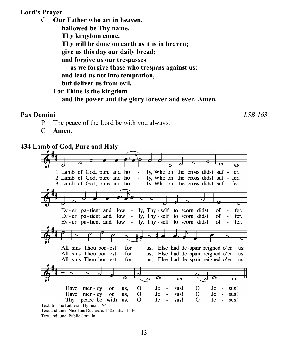## **Lord's Prayer**

C **Our Father who art in heaven, hallowed be Thy name, Thy kingdom come, Thy will be done on earth as it is in heaven; give us this day our daily bread; and forgive us our trespasses as we forgive those who trespass against us; and lead us not into temptation, but deliver us from evil. For Thine is the kingdom**

### **and the power and the glory forever and ever. Amen.**

### **Pax Domini** *LSB 163*

- P The peace of the Lord be with you always.
- C **Amen.**

### **434 Lamb of God, Pure and Holy**

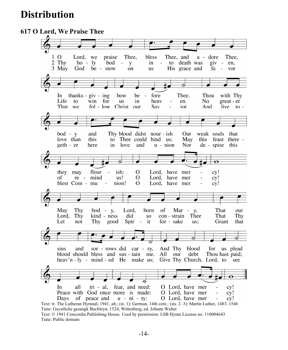# **Distribution**

#### **617 O Lord, We Praise Thee**  $1\,$  O Thee, bless Thee, and a - dore Lord, we praise Thee, 2 Thy  $ho - ly$ bod  $\equiv$ y in  $\sim$ to death was  $giv - en$ , 3 May God be - stow **us** His grace and fa on  $\sim 10^{-1}$ vor Ξ In thanks -  $giv - ing$ bow be  $\sim$ fore Thee. Thou with Thy great - er Life to win for **us** in heav en. No. That we fol - low Christ Sav And  $\frac{1}{2}$  ive to  $\frac{1}{2}$  $_{\rm our}$ ior  $bod - y$ and Thy blood didst nour - ish Our weak souls that love than this to Thee could bind us: May this feast there geth - er here in love and  $u - ni$ on Nor de - spise this  $\overline{\mathbf{o}}$ flour ish:  $\overline{O}$ Lord, have mer they may  $cy!$ re - mind Lord, have mer of us!  $\Omega$  $cy!$ nion! blest Com - mu  $\overline{\phantom{a}}$  $\Omega$ Lord, have mer  $cy!$ May Thy  $bod - y$ , Lord, born of That  $Mar - y$ , our Lord, Thy kind - ness did **SO** con - strain Thee That Thy Spir - it Let not Thy good for - sake us; Grant that sins and sor - rows did car - ry, And Thy blood for us plead blood should bless and sus-tain me. All our debt Thou hast paid; heav'n  $-1y$  - mind  $-ed$  He make us; Give Thy Church, Lord, to see  $\overline{\mathbf{o}}$ a O Lord, have mer In all tri - al. fear. and need: cy! Peace with God once more is made: O Lord, have mer  $cy!$ Days of peace and  $u - ni - ty$ : O Lord, have mer  $cy!$ Text: tr. The Lutheran Hymnal, 1941, alt.; (st. 1): German, 14th cent.; (sts. 2–3): Martin Luther, 1483–1546

Tune: Geystliche gesangk Buchleyn, 1524, Wittenberg, ed. Johann Walter Text: © 1941 Concordia Publishing House. Used by permission: LSB Hymn License no. 110004643 Tune: Public domain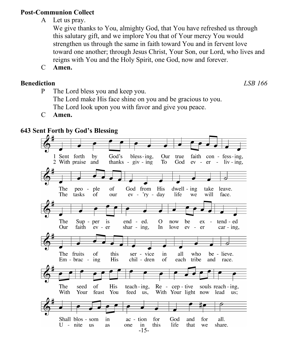# **Post-Communion Collect**

A Let us pray.

We give thanks to You, almighty God, that You have refreshed us through this salutary gift, and we implore You that of Your mercy You would strengthen us through the same in faith toward You and in fervent love toward one another; through Jesus Christ, Your Son, our Lord, who lives and reigns with You and the Holy Spirit, one God, now and forever.

C **Amen.**

# **Benediction** *LSB 166*

- P The Lord bless you and keep you. The Lord make His face shine on you and be gracious to you. The Lord look upon you with favor and give you peace.
- C **Amen.**

# **643 Sent Forth by God's Blessing**

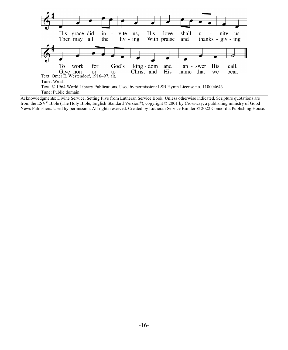

Acknowledgments: Divine Service, Setting Five from Lutheran Service Book. Unless otherwise indicated, Scripture quotations are from the ESV® Bible (The Holy Bible, English Standard Version®), copyright © 2001 by Crossway, a publishing ministry of Good News Publishers. Used by permission. All rights reserved. Created by Lutheran Service Builder © 2022 Concordia Publishing House.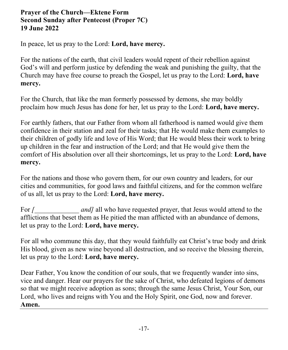# **Prayer of the Church—Ektene Form Second Sunday after Pentecost (Proper 7C) 19 June 2022**

In peace, let us pray to the Lord: **Lord, have mercy.**

For the nations of the earth, that civil leaders would repent of their rebellion against God's will and perform justice by defending the weak and punishing the guilty, that the Church may have free course to preach the Gospel, let us pray to the Lord: **Lord, have mercy.**

For the Church, that like the man formerly possessed by demons, she may boldly proclaim how much Jesus has done for her, let us pray to the Lord: **Lord, have mercy.**

For earthly fathers, that our Father from whom all fatherhood is named would give them confidence in their station and zeal for their tasks; that He would make them examples to their children of godly life and love of His Word; that He would bless their work to bring up children in the fear and instruction of the Lord; and that He would give them the comfort of His absolution over all their shortcomings, let us pray to the Lord: **Lord, have mercy.**

For the nations and those who govern them, for our own country and leaders, for our cities and communities, for good laws and faithful citizens, and for the common welfare of us all, let us pray to the Lord: **Lord, have mercy.**

For *[\_\_\_\_\_\_\_\_\_\_\_\_\_ and]* all who have requested prayer, that Jesus would attend to the afflictions that beset them as He pitied the man afflicted with an abundance of demons, let us pray to the Lord: **Lord, have mercy.**

For all who commune this day, that they would faithfully eat Christ's true body and drink His blood, given as new wine beyond all destruction, and so receive the blessing therein, let us pray to the Lord: **Lord, have mercy.**

Dear Father, You know the condition of our souls, that we frequently wander into sins, vice and danger. Hear our prayers for the sake of Christ, who defeated legions of demons so that we might receive adoption as sons; through the same Jesus Christ, Your Son, our Lord, who lives and reigns with You and the Holy Spirit, one God, now and forever. **Amen.**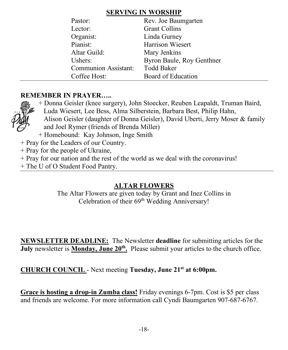# **SERVING IN WORSHIP**

| Pastor:                     | Rev. Joe Baumgarten       |
|-----------------------------|---------------------------|
| Lector:                     | <b>Grant Collins</b>      |
| Organist:                   | Linda Gurney              |
| Pianist:                    | <b>Harrison Wiesert</b>   |
| Altar Guild:                | Mary Jenkins              |
| Ushers:                     | Byron Baule, Roy Genthner |
| <b>Communion Assistant:</b> | <b>Todd Baker</b>         |
| Coffee Host:                | Board of Education        |

# **REMEMBER IN PRAYER…..**



+ Donna Geisler (knee surgery), John Stoecker, Reuben Leapaldt, Truman Baird, Luda Wiesert, Lee Bess, Alma Silberstein, Barbara Best, Philip Hahn,

- Alison Geisler (daughter of Donna Geisler), David Uberti, Jerry Moser & family and Joel Rymer (friends of Brenda Miller)
- + Homebound: Kay Johnson, Inge Smith
- + Pray for the Leaders of our Country.
- + Pray for the people of Ukraine,
- + Pray for our nation and the rest of the world as we deal with the coronavirus!
- + The U of O Student Food Pantry.

# **ALTAR FLOWERS**

The Altar Flowers are given today by Grant and Inez Collins in Celebration of their 69<sup>th</sup> Wedding Anniversary!

**NEWSLETTER DEADLINE:** The Newsletter **deadline** for submitting articles for the **July** newsletter is **Monday, June 20<sup>th</sup>**. Please submit your articles to the church office.

**CHURCH COUNCIL** - Next meeting **Tuesday, June 21st at 6:00pm.**

**Grace is hosting a drop-in Zumba class!** Friday evenings 6-7pm. Cost is \$5 per class and friends are welcome. For more information call Cyndi Baumgarten 907-687-6767.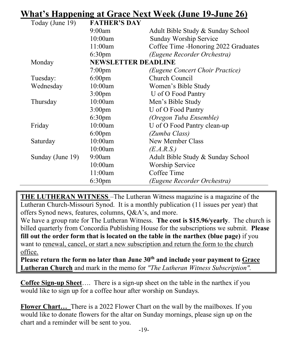# **What's Happening at Grace Next Week (June 19-June 26)**

| Today (June 19)  | <b>FATHER'S DAY</b>        |                                      |
|------------------|----------------------------|--------------------------------------|
|                  | 9:00am                     | Adult Bible Study & Sunday School    |
|                  | 10:00am                    | Sunday Worship Service               |
|                  | 11:00am                    | Coffee Time -Honoring 2022 Graduates |
|                  | 6:30 <sub>pm</sub>         | (Eugene Recorder Orchestra)          |
| Monday           | <b>NEWSLETTER DEADLINE</b> |                                      |
|                  | $7:00$ pm                  | (Eugene Concert Choir Practice)      |
| Tuesday:         | $6:00 \text{pm}$           | Church Council                       |
| Wednesday        | 10:00am                    | Women's Bible Study                  |
|                  | 3:00 <sub>pm</sub>         | U of O Food Pantry                   |
| Thursday         | 10:00am                    | Men's Bible Study                    |
|                  | 3:00 <sub>pm</sub>         | U of O Food Pantry                   |
|                  | 6:30 <sub>pm</sub>         | (Oregon Tuba Ensemble)               |
| Friday           | 10:00am                    | U of O Food Pantry clean-up          |
|                  | $6:00 \text{pm}$           | (Zumba Class)                        |
| Saturday         | 10:00am                    | New Member Class                     |
|                  | 10:00am                    | (E.A.R.S.)                           |
| Sunday (June 19) | 9:00am                     | Adult Bible Study & Sunday School    |
|                  | 10:00am                    | <b>Worship Service</b>               |
|                  | 11:00am                    | Coffee Time                          |
|                  | 6:30 <sub>pm</sub>         | (Eugene Recorder Orchestra)          |

**THE LUTHERAN WITNESS** –The Lutheran Witness magazine is a magazine of the Lutheran Church-Missouri Synod. It is a monthly publication (11 issues per year) that offers Synod news, features, columns, Q&A's, and more.

We have a group rate for The Lutheran Witness. **The cost is \$15.96/yearly**. The church is billed quarterly from Concordia Publishing House for the subscriptions we submit. **Please fill out the order form that is located on the table in the narthex (blue page)** if you want to renewal, cancel, or start a new subscription and return the form to the church office.

**Please return the form no later than June 30th and include your payment to Grace Lutheran Church** and mark in the memo for *"The Lutheran Witness Subscription".*

**Coffee Sign-up Sheet**…. There is a sign-up sheet on the table in the narthex if you would like to sign up for a coffee hour after worship on Sundays.

**Flower Chart…** There is a 2022 Flower Chart on the wall by the mailboxes. If you would like to donate flowers for the altar on Sunday mornings, please sign up on the chart and a reminder will be sent to you.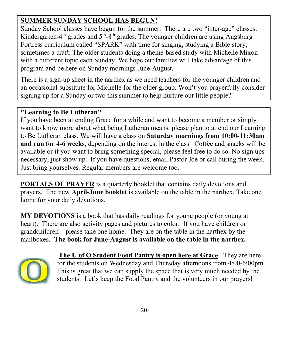# **SUMMER SUNDAY SCHOOL HAS BEGUN!**

Sunday School classes have begun for the summer. There are two "inter-age" classes: Kindergarten-4<sup>th</sup> grades and  $5<sup>th</sup>$ -8<sup>th</sup> grades. The younger children are using Augsburg Fortress curriculum called "SPARK" with time for singing, studying a Bible story, sometimes a craft. The older students doing a theme-based study with Michelle Mixon with a different topic each Sunday. We hope our families will take advantage of this program and be here on Sunday mornings June-August.

There is a sign-up sheet in the narthex as we need teachers for the younger children and an occasional substitute for Michelle for the older group. Won't you prayerfully consider signing up for a Sunday or two this summer to help nurture our little people?

# **"Learning to Be Lutheran"**

If you have been attending Grace for a while and want to become a member or simply want to know more about what being Lutheran means, please plan to attend our Learning to Be Lutheran class. We will have a class on **Saturday mornings from 10:00-11:30am and run for 4-6 weeks**, depending on the interest in the class. Coffee and snacks will be available or if you want to bring something special, please feel free to do so. No sign ups necessary, just show up. If you have questions, email Pastor Joe or call during the week. Just bring yourselves. Regular members are welcome too.

**PORTALS OF PRAYER** is a quarterly booklet that contains daily devotions and prayers. The new **April-June booklet** is available on the table in the narthex. Take one home for your daily devotions.

**MY DEVOTIONS** is a book that has daily readings for young people (or young at heart). There are also activity pages and pictures to color. If you have children or grandchildren – please take one home. They are on the table in the narthex by the mailboxes. **The book for June-August is available on the table in the narthex.** 



**The U of O Student Food Pantry is open here at Grace**. They are here for the students on Wednesday and Thursday afternoons from 4:00-6:00pm. This is great that we can supply the space that is very much needed by the students. Let's keep the Food Pantry and the volunteers in our prayers!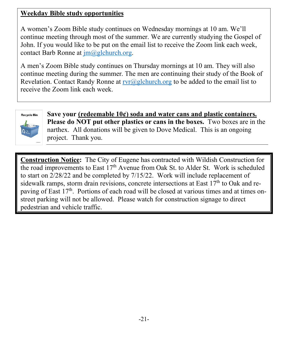# **Weekday Bible study opportunities**

A women's Zoom Bible study continues on Wednesday mornings at 10 am. We'll continue meeting through most of the summer. We are currently studying the Gospel of John. If you would like to be put on the email list to receive the Zoom link each week, contact Barb Ronne at  $\overline{\text{im}(a)}$ glchurch.org.

A men's Zoom Bible study continues on Thursday mornings at 10 am. They will also continue meeting during the summer. The men are continuing their study of the Book of Revelation. Contact Randy Ronne at  $rvr@gelchurch.org$  to be added to the email list to receive the Zoom link each week.



**Save your (redeemable 10¢) soda and water cans and plastic containers. Please do NOT put other plastics or cans in the boxes.** Two boxes are in the narthex. All donations will be given to Dove Medical. This is an ongoing project. Thank you.

**Construction Notice:** The City of Eugene has contracted with Wildish Construction for the road improvements to East  $17<sup>th</sup>$  Avenue from Oak St. to Alder St. Work is scheduled to start on 2/28/22 and be completed by 7/15/22. Work will include replacement of sidewalk ramps, storm drain revisions, concrete intersections at East  $17<sup>th</sup>$  to Oak and repaving of East  $17<sup>th</sup>$ . Portions of each road will be closed at various times and at times onstreet parking will not be allowed. Please watch for construction signage to direct pedestrian and vehicle traffic.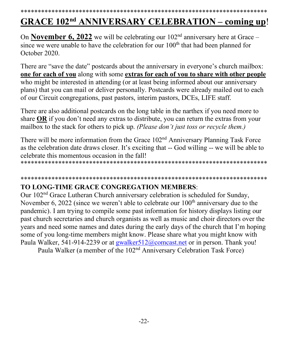### \*\*\*\*\*\*\*\*\*\*\*\*\*\*\*\*\*\*\*\*\*\*\*\*\*\*\*\*\*\*\*\*\*\*\*\*\*\*\*\*\*\*\*\*\*\*\*\*\*\*\*\*\*\*\*\*\*\*\*\*\*\*\*\*\*\*\*\*\*\*\*\*

# **GRACE 102nd ANNIVERSARY CELEBRATION – coming up**!

On **November 6, 2022** we will be celebrating our  $102<sup>nd</sup>$  anniversary here at Grace – since we were unable to have the celebration for our  $100<sup>th</sup>$  that had been planned for October 2020.

There are "save the date" postcards about the anniversary in everyone's church mailbox: **one for each of you** along with some **extras for each of you to share with other people** who might be interested in attending (or at least being informed about our anniversary plans) that you can mail or deliver personally. Postcards were already mailed out to each of our Circuit congregations, past pastors, interim pastors, DCEs, LIFE staff.

There are also additional postcards on the long table in the narthex if you need more to share **OR** if you don't need any extras to distribute, you can return the extras from your mailbox to the stack for others to pick up. *(Please don't just toss or recycle them.)*

There will be more information from the Grace 102<sup>nd</sup> Anniversary Planning Task Force as the celebration date draws closer. It's exciting that -- God willing -- we will be able to celebrate this momentous occasion in the fall!

\*\*\*\*\*\*\*\*\*\*\*\*\*\*\*\*\*\*\*\*\*\*\*\*\*\*\*\*\*\*\*\*\*\*\*\*\*\*\*\*\*\*\*\*\*\*\*\*\*\*\*\*\*\*\*\*\*\*\*\*\*\*\*\*\*\*\*\*\*\*\*\*

## \*\*\*\*\*\*\*\*\*\*\*\*\*\*\*\*\*\*\*\*\*\*\*\*\*\*\*\*\*\*\*\*\*\*\*\*\*\*\*\*\*\*\*\*\*\*\*\*\*\*\*\*\*\*\*\*\*\*\*\*\*\*\*\*\*\*\*\*\*\*\*\*

# **TO LONG-TIME GRACE CONGREGATION MEMBERS**:

Our 102nd Grace Lutheran Church anniversary celebration is scheduled for Sunday, November 6, 2022 (since we weren't able to celebrate our  $100<sup>th</sup>$  anniversary due to the pandemic). I am trying to compile some past information for history displays listing our past church secretaries and church organists as well as music and choir directors over the years and need some names and dates during the early days of the church that I'm hoping some of you long-time members might know. Please share what you might know with Paula Walker, 541-914-2239 or at gwalker 512@comcast.net or in person. Thank you!

Paula Walker (a member of the 102nd Anniversary Celebration Task Force)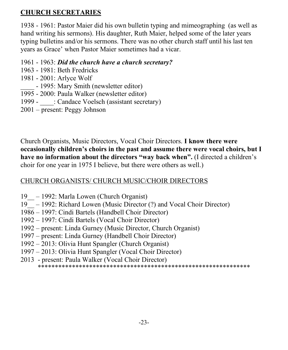# **CHURCH SECRETARIES**

1938 - 1961: Pastor Maier did his own bulletin typing and mimeographing (as well as hand writing his sermons). His daughter, Ruth Maier, helped some of the later years typing bulletins and/or his sermons. There was no other church staff until his last ten years as Grace' when Pastor Maier sometimes had a vicar.

- 1961 1963: *Did the church have a church secretary?*
- 1963 1981: Beth Fredricks
- 1981 2001: Arlyce Wolf
- 1995: Mary Smith (newsletter editor)
- 1995 2000: Paula Walker (newsletter editor)
- 1999 : Candace Voelsch (assistant secretary)
- 2001 present: Peggy Johnson

Church Organists, Music Directors, Vocal Choir Directors. **I know there were occasionally children's choirs in the past and assume there were vocal choirs, but I have no information about the directors "way back when".** (I directed a children's choir for one year in 1975 I believe, but there were others as well.)

# CHURCH ORGANISTS/ CHURCH MUSIC/CHOIR DIRECTORS

- 19\_\_ 1992: Marla Lowen (Church Organist)
- 19\_\_ 1992: Richard Lowen (Music Director (?) and Vocal Choir Director)
- 1986 1997: Cindi Bartels (Handbell Choir Director)
- 1992 1997: Cindi Bartels (Vocal Choir Director)
- 1992 present: Linda Gurney (Music Director, Church Organist)
- 1997 present: Linda Gurney (Handbell Choir Director)
- 1992 2013: Olivia Hunt Spangler (Church Organist)
- 1997 2013: Olivia Hunt Spangler (Vocal Choir Director)
- 2013 present: Paula Walker (Vocal Choir Director) \*\*\*\*\*\*\*\*\*\*\*\*\*\*\*\*\*\*\*\*\*\*\*\*\*\*\*\*\*\*\*\*\*\*\*\*\*\*\*\*\*\*\*\*\*\*\*\*\*\*\*\*\*\*\*\*\*\*\*\*\*\*